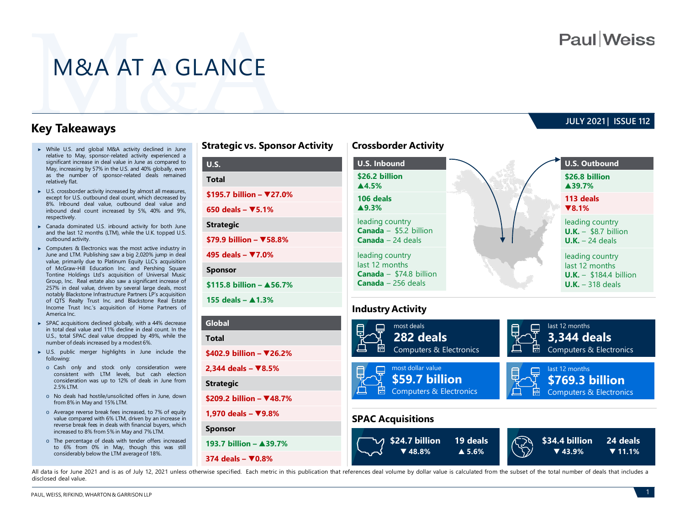# M&A AT A GLANCE

### **Key Takeaways**

- ► While U.S. and global M&A activity declined in June relative to May, sponsor-related activity experienced a significant increase in deal value in June as compared to May, increasing by 57% in the U.S. and 40% globally, even as the number of sponsor-related deals remained relatively flat.
- ► U.S. crossborder activity increased by almost all measures, except for U.S. outbound deal count, which decreased by 8%. Inbound deal value, outbound deal value and inbound deal count increased by 5%, 40% and 9%, respectively.
- ► Canada dominated U.S. inbound activity for both June and the last 12 months (LTM), while the U.K. topped U.S. outbound activity.
- ► Computers & Electronics was the most active industry in June and LTM. Publishing saw a big 2,020% jump in deal value, primarily due to Platinum Equity LLC's acquisition of McGraw-Hill Education Inc. and Pershing Square Tontine Holdings Ltd's acquisition of Universal Music Group, Inc. Real estate also saw a significant increase of 257% in deal value, driven by several large deals, most notably Blackstone Infrastructure Partners LP's acquisition of QTS Realty Trust Inc. and Blackstone Real Estate Income Trust Inc.'s acquisition of Home Partners of America Inc.
- ► SPAC acquisitions declined globally, with a 44% decrease in total deal value and 11% decline in deal count. In the U.S., total SPAC deal value dropped by 49%, while the number of deals increased by a modest 6%.
- ► U.S. public merger highlights in June include the following:
- o Cash only and stock only consideration were consistent with LTM levels, but cash election consideration was up to 12% of deals in June from 2.5% LTM.
- o No deals had hostile/unsolicited offers in June, down from 8% in May and 15% LTM.
- o Average reverse break fees increased, to 7% of equity value compared with 6% LTM, driven by an increase in reverse break fees in deals with financial buyers, which increased to 8% from 5% in May and 7% LTM.
- o The percentage of deals with tender offers increased to 6% from 0% in May, though this was still considerably below the LTM average of 18%.

| <b>Strategic vs. Sponsor Activity</b> | <b>Crossborder Activity</b>                        |  |
|---------------------------------------|----------------------------------------------------|--|
| <b>U.S.</b>                           | <b>U.S. Inbound</b>                                |  |
| Total                                 | \$26.2 billion<br>$\blacktriangle$ 4.5%            |  |
| \$195.7 billion – $\Psi$ 27.0%        | 106 deals                                          |  |
| 650 deals - $\nabla$ 5.1%             | ▲9.3%                                              |  |
| <b>Strategic</b>                      | leading country<br><b>Canada</b> $-$ \$5.2 billion |  |
| \$79.9 billion - ▼58.8%               | $Canada - 24 deals$                                |  |
| 495 deals - ▼7.0%                     | leading country                                    |  |
| <b>Sponsor</b>                        | last 12 months<br><b>Canada</b> $-$ \$74.8 billion |  |
| \$115.8 billion - $\triangle$ 56.7%   | <b>Canada</b> $-256$ deals                         |  |
| 155 deals - $\triangle$ 1.3%          |                                                    |  |
| <b>Global</b>                         | <b>Industry Activity</b>                           |  |
| Total                                 | most deals<br>282 deals                            |  |
| \$402.9 billion - $\nabla$ 26.2%      | <b>Computers &amp; Electronics</b>                 |  |
| 2,344 deals – $\Psi$ 8.5%             | most dollar value                                  |  |
| <b>Strategic</b>                      | \$59.7 billion                                     |  |
| \$209.2 billion - ₹48.7%              | 뜸<br><b>Computers &amp; Electronics</b>            |  |
| 1.970 deals - <b>▼</b> 9.8%           | <b>SPAC Acquisitions</b>                           |  |
| <b>Sponsor</b>                        |                                                    |  |

**193.7 billion – ▲39.7%**

**374 deals – ▼0.8%**

**19 deals \$34.4 billion ▼ 43.9% 24 deals ▼ 11.1%** 

last 12 months

**3,344 deals** Computers & Electronics

**\$769.3 billion** Computers & Electronics

last 12 months

All data is for June 2021 and is as of July 12, 2021 unless otherwise specified. Each metric in this publication that references deal volume by dollar value is calculated from the subset of the total number of deals that i disclosed deal value.

**\$24.7 billion ▼ 48.8%** 

**▲ 5.6%**

### **JULY 2021 | ISSUE 112**

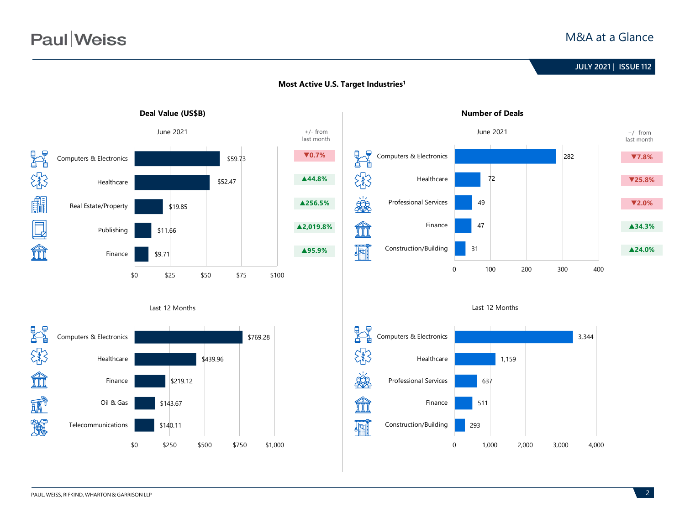### M&A at a Glance

### **June 2020 | ISSUE 99 JULY 2021 | ISSUE 112**



Last 12 Months

### **Most Active U.S. Target Industries1**







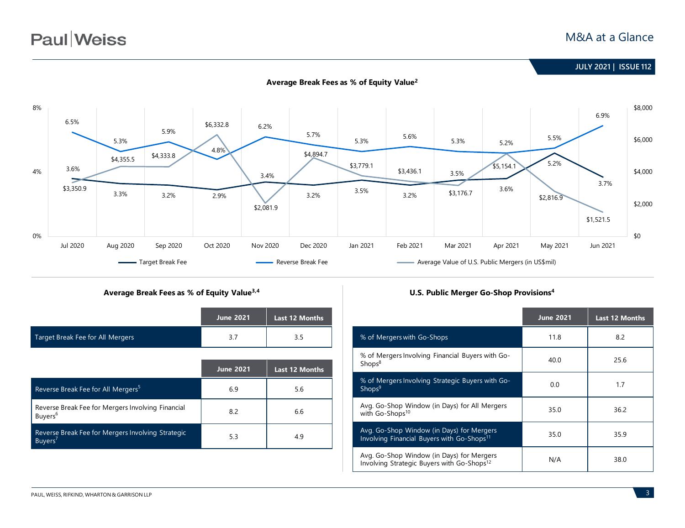



#### **Average Break Fees as % of Equity Value2**

#### Average Break Fees as % of Equity Value<sup>3,4</sup> **Laterage Break Fees as % of Equity Value**<sup>3,4</sup> **Laterage Break Fees as % of Equity Value**<sup>3,4</sup>

|                                  | <b>June 2021</b> | <b>Last 12 Months</b> |
|----------------------------------|------------------|-----------------------|
| Target Break Fee for All Mergers |                  |                       |

|                                                                          | <b>June 2021</b> | <b>Last 12 Months</b> |
|--------------------------------------------------------------------------|------------------|-----------------------|
| Reverse Break Fee for All Mergers <sup>5</sup>                           | 6.9              | 5.6                   |
| Reverse Break Fee for Mergers Involving Financial<br>Buyers <sup>6</sup> | 8.2              | 6.6                   |
| Reverse Break Fee for Mergers Involving Strategic<br>Buyers'             | 5.3              | 4.9                   |

|                                                                                                     | <b>June 2021</b> | <b>Last 12 Months</b> |
|-----------------------------------------------------------------------------------------------------|------------------|-----------------------|
| % of Mergers with Go-Shops                                                                          | 11.8             | 8.2                   |
| % of Mergers Involving Financial Buyers with Go-<br>Shops <sup>8</sup>                              | 40.0             | 25.6                  |
| % of Mergers Involving Strategic Buyers with Go-<br>Shops <sup>9</sup>                              | 0.0              | 1.7                   |
| Avg. Go-Shop Window (in Days) for All Mergers<br>with Go-Shops <sup>10</sup>                        | 35.0             | 36.2                  |
| Avg. Go-Shop Window (in Days) for Mergers<br>Involving Financial Buyers with Go-Shops <sup>11</sup> | 35.0             | 35.9                  |
| Avg. Go-Shop Window (in Days) for Mergers<br>Involving Strategic Buyers with Go-Shops <sup>12</sup> | N/A              | 38.0                  |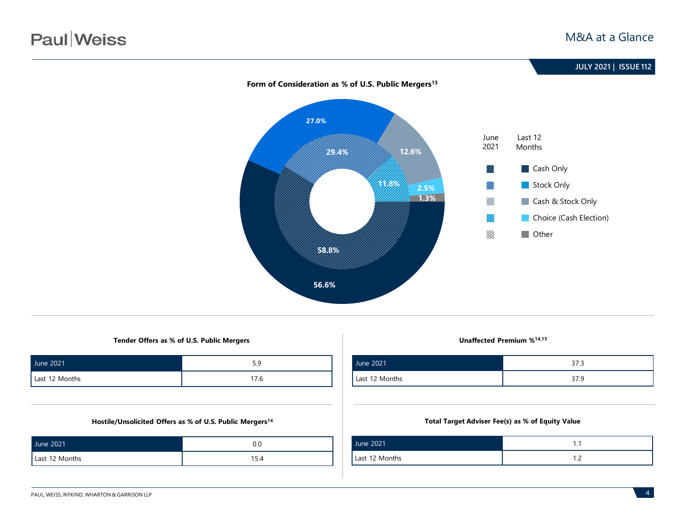



#### **Tender Offers as % of U.S. Public Mergers Unaffected Premium %14,15**

| June 2021      | <u>.</u>    |
|----------------|-------------|
| Last 12 Months | 17 C<br>7.6 |

#### **Hostile/Unsolicited Offers as % of U.S. Public Mergers14**

| June 2021      |      |
|----------------|------|
| Last 12 Months | 15.4 |

| June 2021      | 37.3 |
|----------------|------|
| Last 12 Months | 37.9 |

#### **Total Target Adviser Fee(s) as % of Equity Value**

| June 2021      | . .              |
|----------------|------------------|
| Last 12 Months | $\cdot$ . $\sim$ |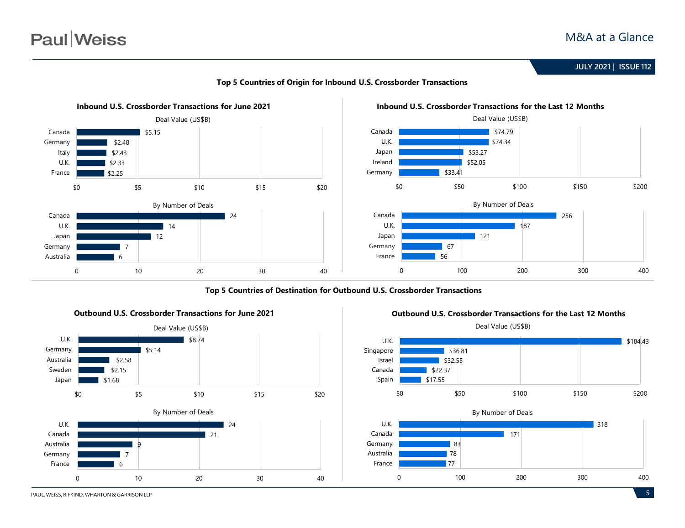

### **Top 5 Countries of Origin for Inbound U.S. Crossborder Transactions**

**Top 5 Countries of Destination for Outbound U.S. Crossborder Transactions**





**Outbound U.S. Crossborder Transactions for the Last 12 Months**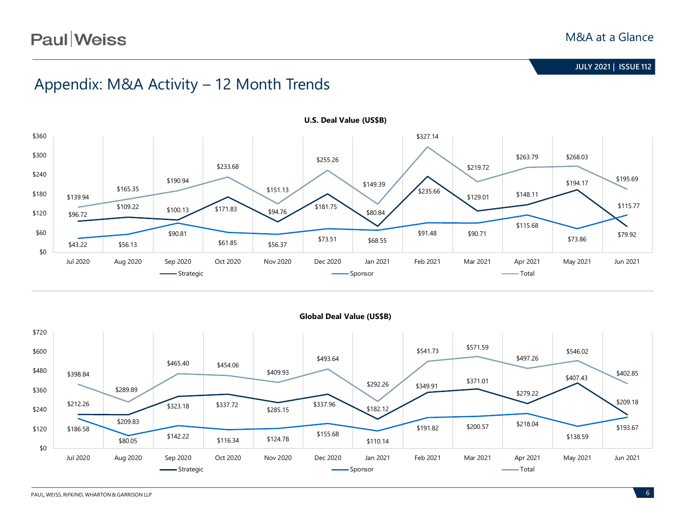### **June 2020 | ISSUE 99 JULY 2021 | ISSUE 112**

# Appendix: M&A Activity – 12 Month Trends



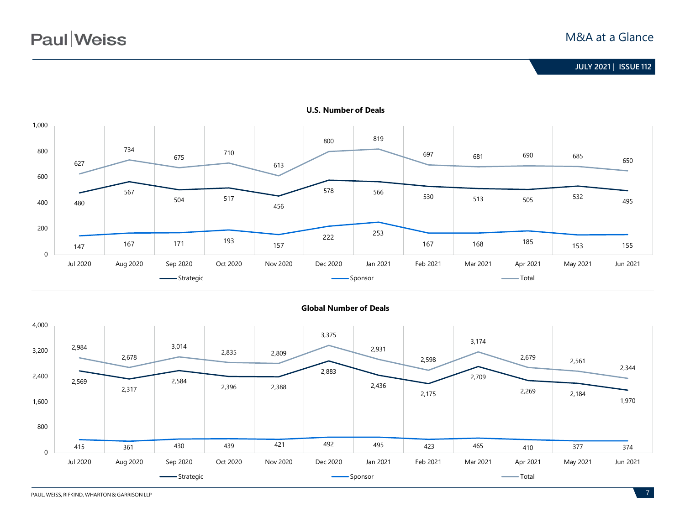

#### **U.S. Number of Deals**



#### **Global Number of Deals**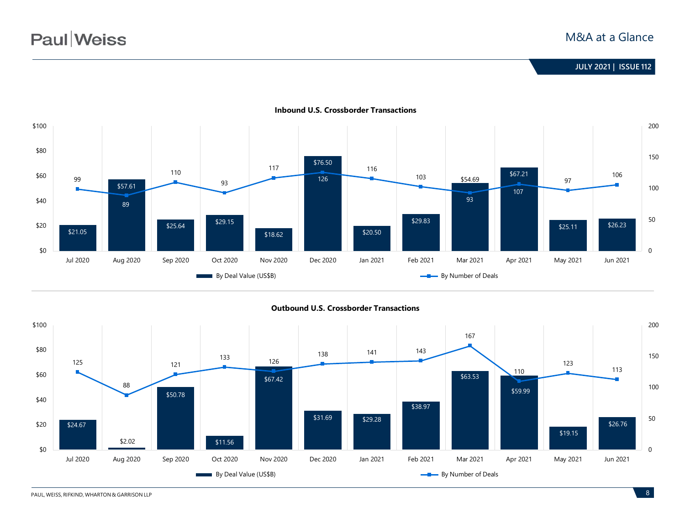

**Inbound U.S. Crossborder Transactions**

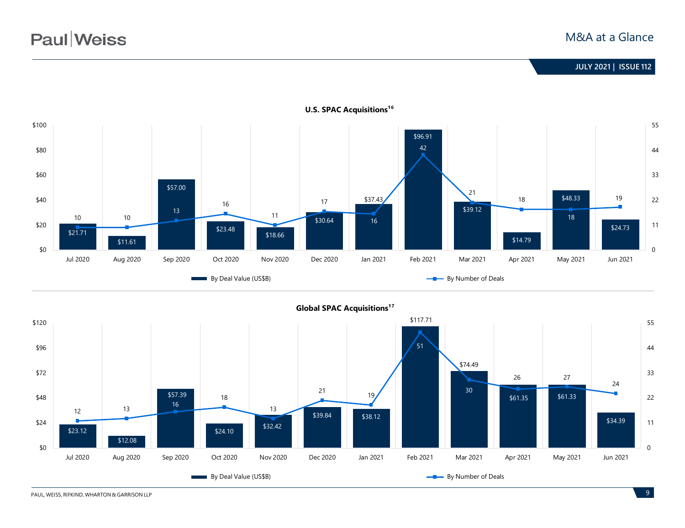

Jul 2020 Aug 2020 Sep 2020 Oct 2020 Nov 2020 Dec 2020 Jan 2021 Feb 2021 Mar 2021 Apr 2021 May 2021 Jun 2021

By Deal Value (US\$B) By Number of Deals

**U.S. SPAC Acquisitions<sup>16</sup>**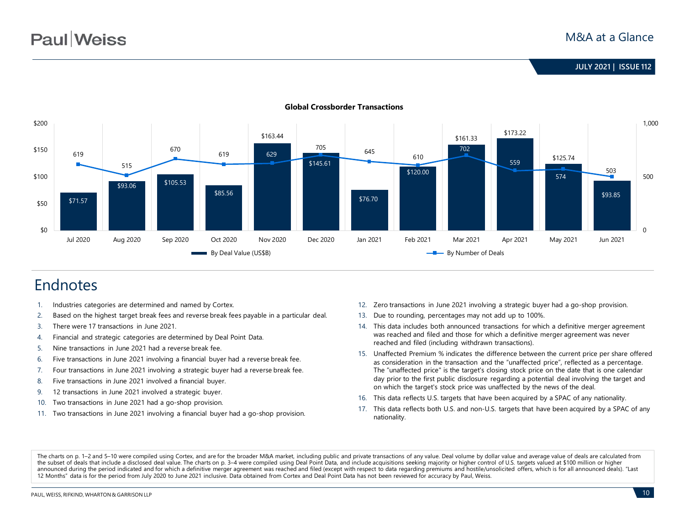

#### **Global Crossborder Transactions**

## Endnotes

- 1. Industries categories are determined and named by Cortex.
- 2. Based on the highest target break fees and reverse break fees payable in a particular deal.
- 3. There were 17 transactions in June 2021.
- 4. Financial and strategic categories are determined by Deal Point Data.
- 5. Nine transactions in June 2021 had a reverse break fee.
- 6. Five transactions in June 2021 involving a financial buyer had a reverse break fee.
- 7. Four transactions in June 2021 involving a strategic buyer had a reverse break fee.
- 8. Five transactions in June 2021 involved a financial buyer.
- 9. 12 transactions in June 2021 involved a strategic buyer.
- 10. Two transactions in June 2021 had a go-shop provision.
- 11. Two transactions in June 2021 involving a financial buyer had a go-shop provision.
- 12. Zero transactions in June 2021 involving a strategic buyer had a go-shop provision.
- 13. Due to rounding, percentages may not add up to 100%.
- 14. This data includes both announced transactions for which a definitive merger agreement was reached and filed and those for which a definitive merger agreement was never reached and filed (including withdrawn transactions).
- 15. Unaffected Premium % indicates the difference between the current price per share offered as consideration in the transaction and the "unaffected price", reflected as a percentage. The "unaffected price" is the target's closing stock price on the date that is one calendar day prior to the first public disclosure regarding a potential deal involving the target and on which the target's stock price was unaffected by the news of the deal.
- 16. This data reflects U.S. targets that have been acquired by a SPAC of any nationality.
- 17. This data reflects both U.S. and non-U.S. targets that have been acquired by a SPAC of any nationality.

The charts on p. 1–2 and 5–10 were compiled using Cortex, and are for the broader M&A market, including public and private transactions of any value. Deal volume by dollar value and average value of deals are calculated fr the subset of deals that include a disclosed deal value. The charts on p. 3-4 were compiled using Deal Point Data, and include acquisitions seeking majority or higher control of U.S. targets valued at \$100 million or highe announced during the period indicated and for which a definitive merger agreement was reached and filed (except with respect to data regarding premiums and hostile/unsolicited offers, which is for all announced deals). "La 12 Months" data is for the period from July 2020 to June 2021 inclusive. Data obtained from Cortex and Deal Point Data has not been reviewed for accuracy by Paul, Weiss.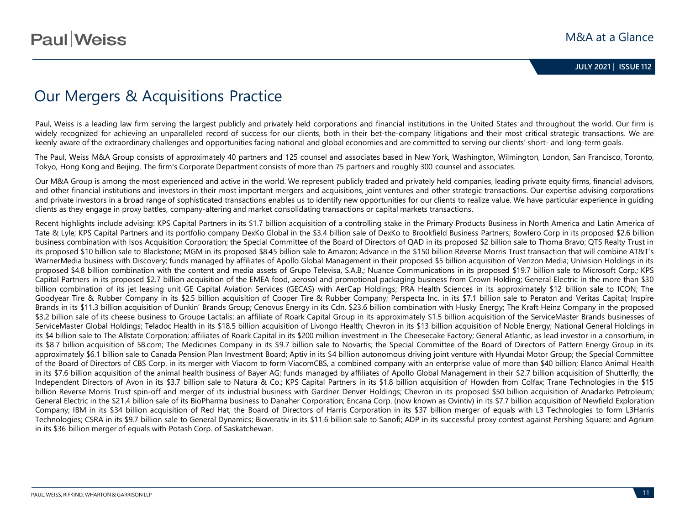# Our Mergers & Acquisitions Practice

Paul, Weiss is a leading law firm serving the largest publicly and privately held corporations and financial institutions in the United States and throughout the world. Our firm is widely recognized for achieving an unparalleled record of success for our clients, both in their bet-the-company litigations and their most critical strategic transactions. We are keenly aware of the extraordinary challenges and opportunities facing national and global economies and are committed to serving our clients' short- and long-term goals.

The Paul, Weiss M&A Group consists of approximately 40 partners and 125 counsel and associates based in New York, Washington, Wilmington, London, San Francisco, Toronto, Tokyo, Hong Kong and Beijing. The firm's Corporate Department consists of more than 75 partners and roughly 300 counsel and associates.

Our M&A Group is among the most experienced and active in the world. We represent publicly traded and privately held companies, leading private equity firms, financial advisors, and other financial institutions and investors in their most important mergers and acquisitions, joint ventures and other strategic transactions. Our expertise advising corporations and private investors in a broad range of sophisticated transactions enables us to identify new opportunities for our clients to realize value. We have particular experience in guiding clients as they engage in proxy battles, company-altering and market consolidating transactions or capital markets transactions.

Recent highlights include advising: KPS Capital Partners in its \$1.7 billion acquisition of a controlling stake in the Primary Products Business in North America and Latin America of Tate & Lyle; KPS Capital Partners and its portfolio company DexKo Global in the \$3.4 billion sale of DexKo to Brookfield Business Partners; Bowlero Corp in its proposed \$2.6 billion business combination with Isos Acquisition Corporation; the Special Committee of the Board of Directors of QAD in its proposed \$2 billion sale to Thoma Bravo; QTS Realty Trust in its proposed \$10 billion sale to Blackstone; MGM in its proposed \$8.45 billion sale to Amazon; Advance in the \$150 billion Reverse Morris Trust transaction that will combine AT&T's WarnerMedia business with Discovery; funds managed by affiliates of Apollo Global Management in their proposed \$5 billion acquisition of Verizon Media; Univision Holdings in its proposed \$4.8 billion combination with the content and media assets of Grupo Televisa, S.A.B.; Nuance Communications in its proposed \$19.7 billion sale to Microsoft Corp.; KPS Capital Partners in its proposed \$2.7 billion acquisition of the EMEA food, aerosol and promotional packaging business from Crown Holding; General Electric in the more than \$30 billion combination of its jet leasing unit GE Capital Aviation Services (GECAS) with AerCap Holdings; PRA Health Sciences in its approximately \$12 billion sale to ICON; The Goodyear Tire & Rubber Company in its \$2.5 billion acquisition of Cooper Tire & Rubber Company; Perspecta Inc. in its \$7.1 billion sale to Peraton and Veritas Capital; Inspire Brands in its \$11.3 billion acquisition of Dunkin' Brands Group; Cenovus Energy in its Cdn. \$23.6 billion combination with Husky Energy; The Kraft Heinz Company in the proposed \$3.2 billion sale of its cheese business to Groupe Lactalis; an affiliate of Roark Capital Group in its approximately \$1.5 billion acquisition of the ServiceMaster Brands businesses of ServiceMaster Global Holdings; Teladoc Health in its \$18.5 billion acquisition of Livongo Health; Chevron in its \$13 billion acquisition of Noble Energy; National General Holdings in its \$4 billion sale to The Allstate Corporation; affiliates of Roark Capital in its \$200 million investment in The Cheesecake Factory; General Atlantic, as lead investor in a consortium, in its \$8.7 billion acquisition of 58.com; The Medicines Company in its \$9.7 billion sale to Novartis; the Special Committee of the Board of Directors of Pattern Energy Group in its approximately \$6.1 billion sale to Canada Pension Plan Investment Board; Aptiv in its \$4 billion autonomous driving joint venture with Hyundai Motor Group; the Special Committee of the Board of Directors of CBS Corp. in its merger with Viacom to form ViacomCBS, a combined company with an enterprise value of more than \$40 billion; Elanco Animal Health in its \$7.6 billion acquisition of the animal health business of Bayer AG; funds managed by affiliates of Apollo Global Management in their \$2.7 billion acquisition of Shutterfly; the Independent Directors of Avon in its \$3.7 billion sale to Natura & Co.; KPS Capital Partners in its \$1.8 billion acquisition of Howden from Colfax; Trane Technologies in the \$15 billion Reverse Morris Trust spin-off and merger of its industrial business with Gardner Denver Holdings; Chevron in its proposed \$50 billion acquisition of Anadarko Petroleum; General Electric in the \$21.4 billion sale of its BioPharma business to Danaher Corporation; Encana Corp. (now known as Ovintiv) in its \$7.7 billion acquisition of Newfield Exploration Company; IBM in its \$34 billion acquisition of Red Hat; the Board of Directors of Harris Corporation in its \$37 billion merger of equals with L3 Technologies to form L3Harris Technologies; CSRA in its \$9.7 billion sale to General Dynamics; Bioverativ in its \$11.6 billion sale to Sanofi; ADP in its successful proxy contest against Pershing Square; and Agrium in its \$36 billion merger of equals with Potash Corp. of Saskatchewan.